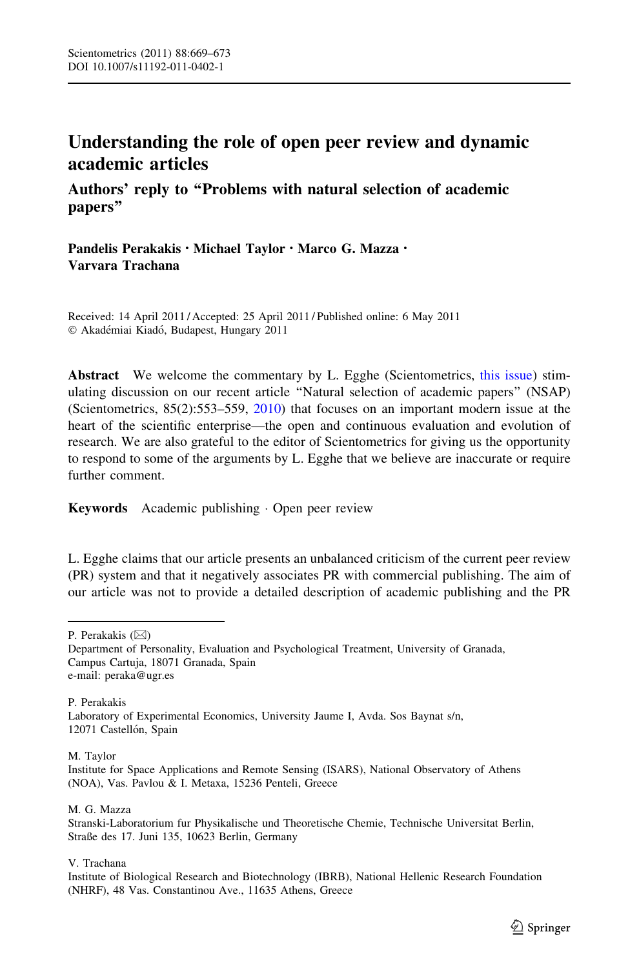# Understanding the role of open peer review and dynamic academic articles

Authors' reply to ''Problems with natural selection of academic papers''

Pandelis Perakakis • Michael Taylor • Marco G. Mazza • Varvara Trachana

Received: 14 April 2011 / Accepted: 25 April 2011 / Published online: 6 May 2011 © Akadémiai Kiadó, Budapest, Hungary 2011

Abstract We welcome the commentary by L. Egghe (Scientometrics, [this issue](#page-4-0)) stimulating discussion on our recent article ''Natural selection of academic papers'' (NSAP) (Scientometrics, 85(2):553–559, [2010](#page-4-0)) that focuses on an important modern issue at the heart of the scientific enterprise—the open and continuous evaluation and evolution of research. We are also grateful to the editor of Scientometrics for giving us the opportunity to respond to some of the arguments by L. Egghe that we believe are inaccurate or require further comment.

Keywords Academic publishing · Open peer review

L. Egghe claims that our article presents an unbalanced criticism of the current peer review (PR) system and that it negatively associates PR with commercial publishing. The aim of our article was not to provide a detailed description of academic publishing and the PR

P. Perakakis  $(\boxtimes)$ 

P. Perakakis Laboratory of Experimental Economics, University Jaume I, Avda. Sos Baynat s/n, 12071 Castellón, Spain

M. Taylor

M. G. Mazza

V. Trachana

Department of Personality, Evaluation and Psychological Treatment, University of Granada, Campus Cartuja, 18071 Granada, Spain e-mail: peraka@ugr.es

Institute for Space Applications and Remote Sensing (ISARS), National Observatory of Athens (NOA), Vas. Pavlou & I. Metaxa, 15236 Penteli, Greece

Stranski-Laboratorium fur Physikalische und Theoretische Chemie, Technische Universitat Berlin, Straße des 17. Juni 135, 10623 Berlin, Germany

Institute of Biological Research and Biotechnology (IBRB), National Hellenic Research Foundation (NHRF), 48 Vas. Constantinou Ave., 11635 Athens, Greece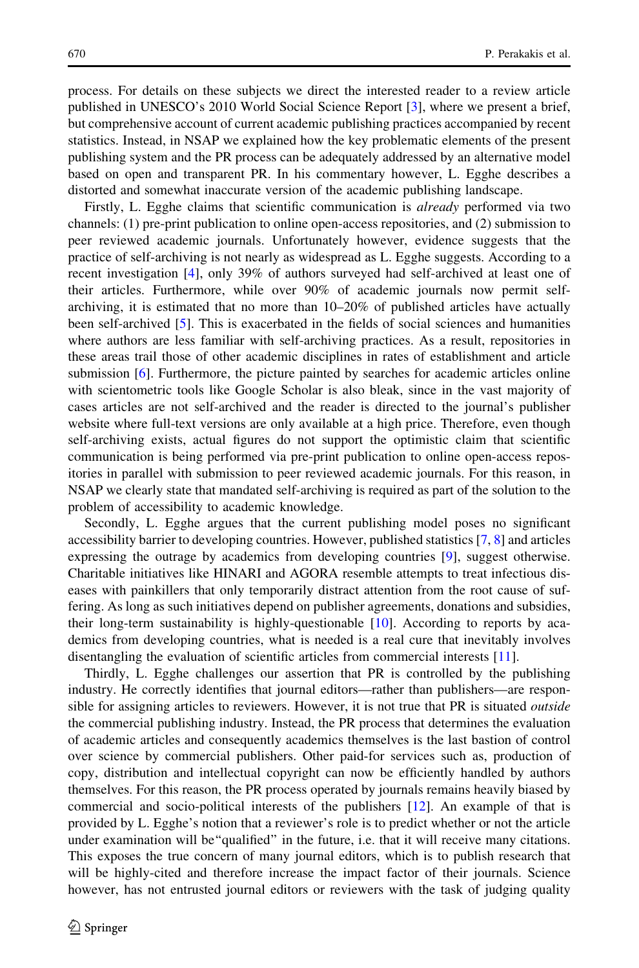process. For details on these subjects we direct the interested reader to a review article published in UNESCO's 2010 World Social Science Report [[3](#page-4-0)], where we present a brief, but comprehensive account of current academic publishing practices accompanied by recent statistics. Instead, in NSAP we explained how the key problematic elements of the present publishing system and the PR process can be adequately addressed by an alternative model based on open and transparent PR. In his commentary however, L. Egghe describes a distorted and somewhat inaccurate version of the academic publishing landscape.

Firstly, L. Egghe claims that scientific communication is *already* performed via two channels: (1) pre-print publication to online open-access repositories, and (2) submission to peer reviewed academic journals. Unfortunately however, evidence suggests that the practice of self-archiving is not nearly as widespread as L. Egghe suggests. According to a recent investigation [\[4](#page-4-0)], only 39% of authors surveyed had self-archived at least one of their articles. Furthermore, while over 90% of academic journals now permit selfarchiving, it is estimated that no more than 10–20% of published articles have actually been self-archived [[5](#page-4-0)]. This is exacerbated in the fields of social sciences and humanities where authors are less familiar with self-archiving practices. As a result, repositories in these areas trail those of other academic disciplines in rates of establishment and article submission [[6](#page-4-0)]. Furthermore, the picture painted by searches for academic articles online with scientometric tools like Google Scholar is also bleak, since in the vast majority of cases articles are not self-archived and the reader is directed to the journal's publisher website where full-text versions are only available at a high price. Therefore, even though self-archiving exists, actual figures do not support the optimistic claim that scientific communication is being performed via pre-print publication to online open-access repositories in parallel with submission to peer reviewed academic journals. For this reason, in NSAP we clearly state that mandated self-archiving is required as part of the solution to the problem of accessibility to academic knowledge.

Secondly, L. Egghe argues that the current publishing model poses no significant accessibility barrier to developing countries. However, published statistics [[7](#page-4-0), [8](#page-4-0)] and articles expressing the outrage by academics from developing countries [[9\]](#page-4-0), suggest otherwise. Charitable initiatives like HINARI and AGORA resemble attempts to treat infectious diseases with painkillers that only temporarily distract attention from the root cause of suffering. As long as such initiatives depend on publisher agreements, donations and subsidies, their long-term sustainability is highly-questionable [[10](#page-4-0)]. According to reports by academics from developing countries, what is needed is a real cure that inevitably involves disentangling the evaluation of scientific articles from commercial interests [[11\]](#page-4-0).

Thirdly, L. Egghe challenges our assertion that PR is controlled by the publishing industry. He correctly identifies that journal editors—rather than publishers—are responsible for assigning articles to reviewers. However, it is not true that PR is situated *outside* the commercial publishing industry. Instead, the PR process that determines the evaluation of academic articles and consequently academics themselves is the last bastion of control over science by commercial publishers. Other paid-for services such as, production of copy, distribution and intellectual copyright can now be efficiently handled by authors themselves. For this reason, the PR process operated by journals remains heavily biased by commercial and socio-political interests of the publishers [[12](#page-4-0)]. An example of that is provided by L. Egghe's notion that a reviewer's role is to predict whether or not the article under examination will be''qualified'' in the future, i.e. that it will receive many citations. This exposes the true concern of many journal editors, which is to publish research that will be highly-cited and therefore increase the impact factor of their journals. Science however, has not entrusted journal editors or reviewers with the task of judging quality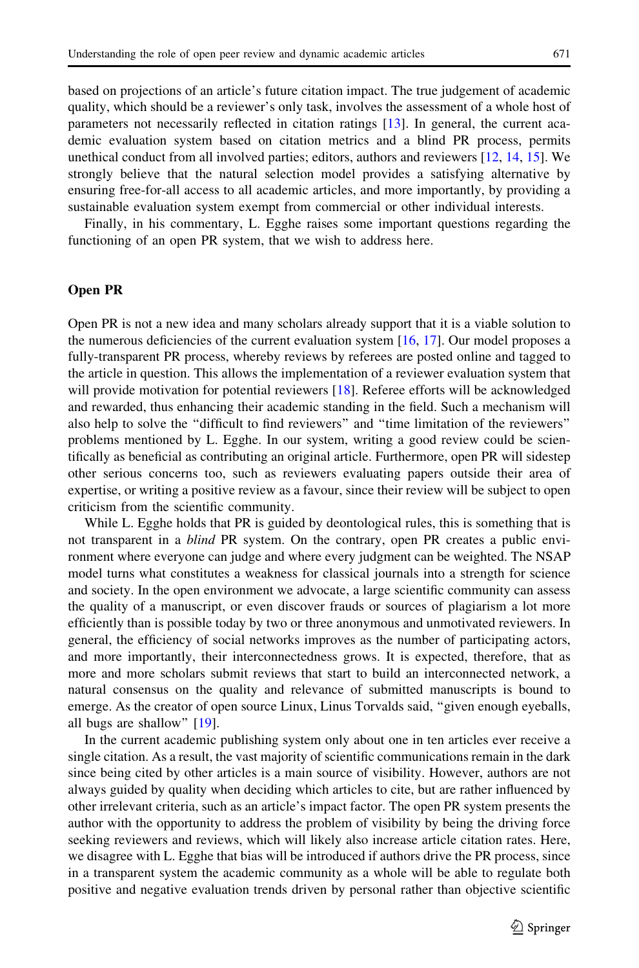based on projections of an article's future citation impact. The true judgement of academic quality, which should be a reviewer's only task, involves the assessment of a whole host of parameters not necessarily reflected in citation ratings [\[13\]](#page-4-0). In general, the current academic evaluation system based on citation metrics and a blind PR process, permits unethical conduct from all involved parties; editors, authors and reviewers [[12](#page-4-0), [14](#page-4-0), [15\]](#page-4-0). We strongly believe that the natural selection model provides a satisfying alternative by ensuring free-for-all access to all academic articles, and more importantly, by providing a sustainable evaluation system exempt from commercial or other individual interests.

Finally, in his commentary, L. Egghe raises some important questions regarding the functioning of an open PR system, that we wish to address here.

## Open PR

Open PR is not a new idea and many scholars already support that it is a viable solution to the numerous deficiencies of the current evaluation system  $[16, 17]$  $[16, 17]$  $[16, 17]$  $[16, 17]$ . Our model proposes a fully-transparent PR process, whereby reviews by referees are posted online and tagged to the article in question. This allows the implementation of a reviewer evaluation system that will provide motivation for potential reviewers [[18](#page-4-0)]. Referee efforts will be acknowledged and rewarded, thus enhancing their academic standing in the field. Such a mechanism will also help to solve the ''difficult to find reviewers'' and ''time limitation of the reviewers'' problems mentioned by L. Egghe. In our system, writing a good review could be scientifically as beneficial as contributing an original article. Furthermore, open PR will sidestep other serious concerns too, such as reviewers evaluating papers outside their area of expertise, or writing a positive review as a favour, since their review will be subject to open criticism from the scientific community.

While L. Egghe holds that PR is guided by deontological rules, this is something that is not transparent in a *blind* PR system. On the contrary, open PR creates a public environment where everyone can judge and where every judgment can be weighted. The NSAP model turns what constitutes a weakness for classical journals into a strength for science and society. In the open environment we advocate, a large scientific community can assess the quality of a manuscript, or even discover frauds or sources of plagiarism a lot more efficiently than is possible today by two or three anonymous and unmotivated reviewers. In general, the efficiency of social networks improves as the number of participating actors, and more importantly, their interconnectedness grows. It is expected, therefore, that as more and more scholars submit reviews that start to build an interconnected network, a natural consensus on the quality and relevance of submitted manuscripts is bound to emerge. As the creator of open source Linux, Linus Torvalds said, ''given enough eyeballs, all bugs are shallow'' [\[19\]](#page-4-0).

In the current academic publishing system only about one in ten articles ever receive a single citation. As a result, the vast majority of scientific communications remain in the dark since being cited by other articles is a main source of visibility. However, authors are not always guided by quality when deciding which articles to cite, but are rather influenced by other irrelevant criteria, such as an article's impact factor. The open PR system presents the author with the opportunity to address the problem of visibility by being the driving force seeking reviewers and reviews, which will likely also increase article citation rates. Here, we disagree with L. Egghe that bias will be introduced if authors drive the PR process, since in a transparent system the academic community as a whole will be able to regulate both positive and negative evaluation trends driven by personal rather than objective scientific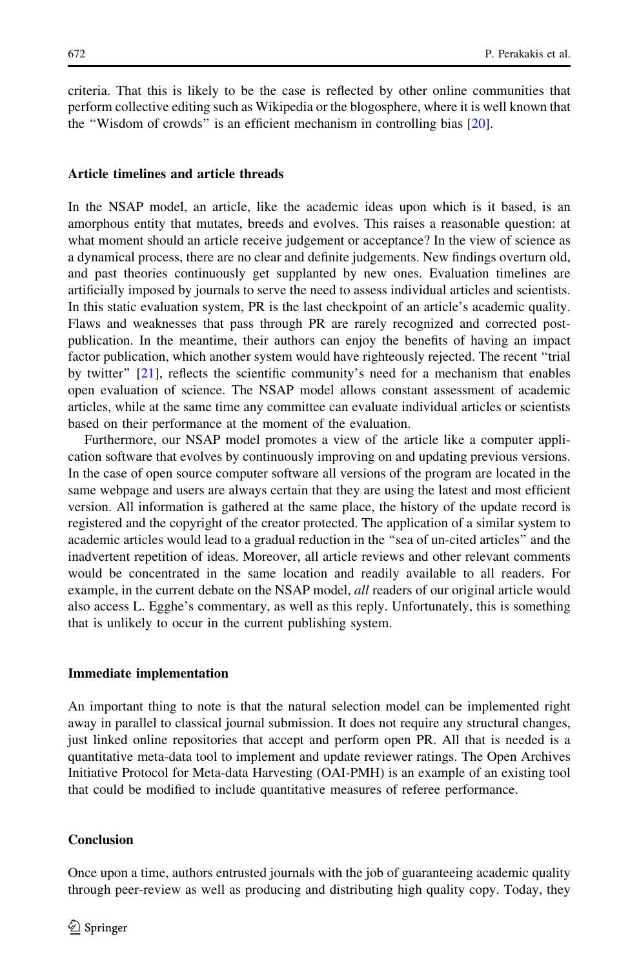criteria. That this is likely to be the case is reflected by other online communities that perform collective editing such as Wikipedia or the blogosphere, where it is well known that the ''Wisdom of crowds'' is an efficient mechanism in controlling bias [[20\]](#page-4-0).

## Article timelines and article threads

In the NSAP model, an article, like the academic ideas upon which is it based, is an amorphous entity that mutates, breeds and evolves. This raises a reasonable question: at what moment should an article receive judgement or acceptance? In the view of science as a dynamical process, there are no clear and definite judgements. New findings overturn old, and past theories continuously get supplanted by new ones. Evaluation timelines are artificially imposed by journals to serve the need to assess individual articles and scientists. In this static evaluation system, PR is the last checkpoint of an article's academic quality. Flaws and weaknesses that pass through PR are rarely recognized and corrected postpublication. In the meantime, their authors can enjoy the benefits of having an impact factor publication, which another system would have righteously rejected. The recent ''trial by twitter'' [\[21](#page-4-0)], reflects the scientific community's need for a mechanism that enables open evaluation of science. The NSAP model allows constant assessment of academic articles, while at the same time any committee can evaluate individual articles or scientists based on their performance at the moment of the evaluation.

Furthermore, our NSAP model promotes a view of the article like a computer application software that evolves by continuously improving on and updating previous versions. In the case of open source computer software all versions of the program are located in the same webpage and users are always certain that they are using the latest and most efficient version. All information is gathered at the same place, the history of the update record is registered and the copyright of the creator protected. The application of a similar system to academic articles would lead to a gradual reduction in the ''sea of un-cited articles'' and the inadvertent repetition of ideas. Moreover, all article reviews and other relevant comments would be concentrated in the same location and readily available to all readers. For example, in the current debate on the NSAP model, *all* readers of our original article would also access L. Egghe's commentary, as well as this reply. Unfortunately, this is something that is unlikely to occur in the current publishing system.

#### Immediate implementation

An important thing to note is that the natural selection model can be implemented right away in parallel to classical journal submission. It does not require any structural changes, just linked online repositories that accept and perform open PR. All that is needed is a quantitative meta-data tool to implement and update reviewer ratings. The Open Archives Initiative Protocol for Meta-data Harvesting (OAI-PMH) is an example of an existing tool that could be modified to include quantitative measures of referee performance.

## Conclusion

Once upon a time, authors entrusted journals with the job of guaranteeing academic quality through peer-review as well as producing and distributing high quality copy. Today, they